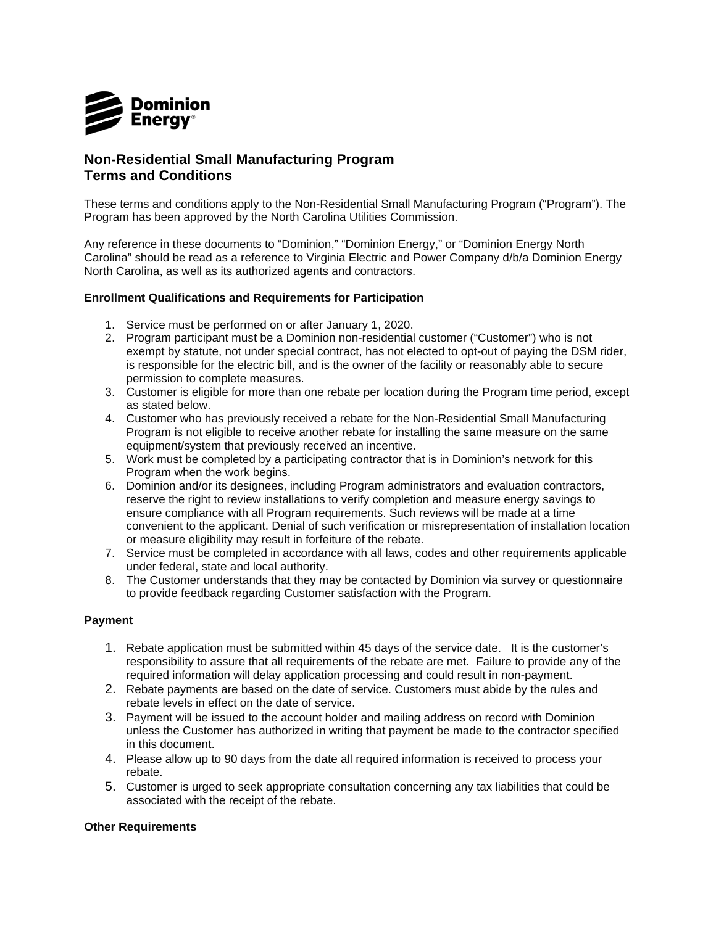

## **Non-Residential Small Manufacturing Program Terms and Conditions**

 These terms and conditions apply to the Non-Residential Small Manufacturing Program ("Program"). The Program has been approved by the North Carolina Utilities Commission.

 Any reference in these documents to "Dominion," "Dominion Energy," or "Dominion Energy North Carolina" should be read as a reference to Virginia Electric and Power Company d/b/a Dominion Energy North Carolina, as well as its authorized agents and contractors.

## **Enrollment Qualifications and Requirements for Participation**

- 1. Service must be performed on or after January 1, 2020.
- 2. Program participant must be a Dominion non-residential customer ("Customer") who is not exempt by statute, not under special contract, has not elected to opt-out of paying the DSM rider, is responsible for the electric bill, and is the owner of the facility or reasonably able to secure permission to complete measures.
- 3. Customer is eligible for more than one rebate per location during the Program time period, except as stated below.
- 4. Customer who has previously received a rebate for the Non-Residential Small Manufacturing Program is not eligible to receive another rebate for installing the same measure on the same equipment/system that previously received an incentive.
- 5. Work must be completed by a participating contractor that is in Dominion's network for this Program when the work begins.
- 6. Dominion and/or its designees, including Program administrators and evaluation contractors, reserve the right to review installations to verify completion and measure energy savings to ensure compliance with all Program requirements. Such reviews will be made at a time convenient to the applicant. Denial of such verification or misrepresentation of installation location or measure eligibility may result in forfeiture of the rebate.
- 7. Service must be completed in accordance with all laws, codes and other requirements applicable under federal, state and local authority.
- 8. The Customer understands that they may be contacted by Dominion via survey or questionnaire to provide feedback regarding Customer satisfaction with the Program.

## **Payment**

- 1. Rebate application must be submitted within 45 days of the service date. It is the customer's responsibility to assure that all requirements of the rebate are met. Failure to provide any of the required information will delay application processing and could result in non-payment.
- 2. Rebate payments are based on the date of service. Customers must abide by the rules and rebate levels in effect on the date of service.
- 3. Payment will be issued to the account holder and mailing address on record with Dominion unless the Customer has authorized in writing that payment be made to the contractor specified in this document.
- 4. Please allow up to 90 days from the date all required information is received to process your rebate.
- 5. Customer is urged to seek appropriate consultation concerning any tax liabilities that could be associated with the receipt of the rebate.

## **Other Requirements**